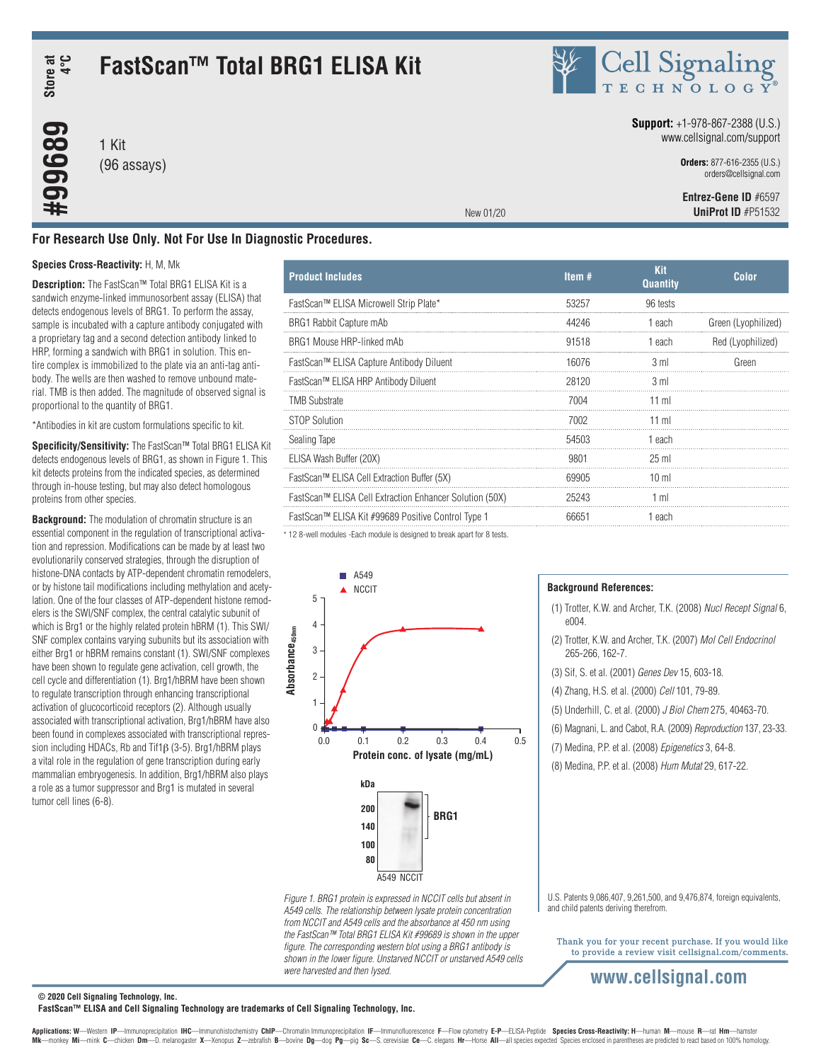**Store at 4°C**

**#99689**

# **FastScan™ Total BRG1 ELISA Kit**

1 Kit (96 assays) Cell Signaling

### **Support:** +1-978-867-2388 (U.S.) www.cellsignal.com/support

**Orders:** 877-616-2355 (U.S.) orders@cellsignal.com

 **Entrez-Gene ID** #6597 **UniProt ID** #P51532

**For Research Use Only. Not For Use In Diagnostic Procedures.**

### **Species Cross-Reactivity:** H, M, Mk

**Description:** The FastScan™ Total BRG1 ELISA Kit is a sandwich enzyme-linked immunosorbent assay (ELISA) that detects endogenous levels of BRG1. To perform the assay, sample is incubated with a capture antibody conjugated with a proprietary tag and a second detection antibody linked to HRP, forming a sandwich with BRG1 in solution. This entire complex is immobilized to the plate via an anti-tag antibody. The wells are then washed to remove unbound material. TMB is then added. The magnitude of observed signal is proportional to the quantity of BRG1.

\*Antibodies in kit are custom formulations specific to kit.

**Specificity/Sensitivity:** The FastScan™ Total BRG1 ELISA Kit detects endogenous levels of BRG1, as shown in Figure 1. This kit detects proteins from the indicated species, as determined through in-house testing, but may also detect homologous proteins from other species.

**Background:** The modulation of chromatin structure is an essential component in the regulation of transcriptional activation and repression. Modifications can be made by at least two evolutionarily conserved strategies, through the disruption of histone-DNA contacts by ATP-dependent chromatin remodelers, or by histone tail modifications including methylation and acetylation. One of the four classes of ATP-dependent histone remodelers is the SWI/SNF complex, the central catalytic subunit of which is Brg1 or the highly related protein hBRM (1). This SWI/ SNF complex contains varying subunits but its association with either Brg1 or hBRM remains constant (1). SWI/SNF complexes have been shown to regulate gene activation, cell growth, the cell cycle and differentiation (1). Brg1/hBRM have been shown to regulate transcription through enhancing transcriptional activation of glucocorticoid receptors (2). Although usually associated with transcriptional activation, Brg1/hBRM have also been found in complexes associated with transcriptional repression including HDACs, Rb and Tif1β (3-5). Brg1/hBRM plays a vital role in the regulation of gene transcription during early mammalian embryogenesis. In addition, Brg1/hBRM also plays a role as a tumor suppressor and Brg1 is mutated in several tumor cell lines (6-8).

| <b>Product Includes</b>                                 | Item $#$ | <b>Kit</b><br><b>Quantity</b> | <b>Color</b>        |
|---------------------------------------------------------|----------|-------------------------------|---------------------|
| FastScan™ ELISA Microwell Strip Plate*                  | 53257    | 96 tests                      |                     |
| BRG1 Rabbit Capture mAb                                 | 44246    | 1 each                        | Green (Lyophilized) |
| BRG1 Mouse HRP-linked mAb                               | 91518    | 1 each                        | Red (Lyophilized)   |
| FastScan™ ELISA Capture Antibody Diluent                | 16076    | 3 ml                          | Green               |
| FastScan™ ELISA HRP Antibody Diluent                    | 28120    | 3 ml                          |                     |
| <b>TMB Substrate</b>                                    | 7004     | 11 ml                         |                     |
| STOP Solution                                           | 7002     | 11 ml                         |                     |
| Sealing Tape                                            | 54503    | 1 each                        |                     |
| ELISA Wash Buffer (20X)                                 | 9801     | $25$ ml                       |                     |
| FastScan™ ELISA Cell Extraction Buffer (5X)             | 69905    | $10 \mathrm{m}$               |                     |
| FastScan™ ELISA Cell Extraction Enhancer Solution (50X) | 25243    | 1 ml                          |                     |
| FastScan™ ELISA Kit #99689 Positive Control Type 1      | 66651    | 1 each                        |                     |

New 01/20

\* 12 8-well modules -Each module is designed to break apart for 8 tests.



*Figure 1. BRG1 protein is expressed in NCCIT cells but absent in A549 cells. The relationship between lysate protein concentration from NCCIT and A549 cells and the absorbance at 450 nm using the FastScan™ Total BRG1 ELISA Kit #99689 is shown in the upper figure. The corresponding western blot using a BRG1 antibody is shown in the lower figure. Unstarved NCCIT or unstarved A549 cells were harvested and then lysed.*

### **Background References:**

- (1) Trotter, K.W. and Archer, T.K. (2008) *Nucl Recept Signal* 6, e004.
- (2) Trotter, K.W. and Archer, T.K. (2007) *Mol Cell Endocrinol* 265-266, 162-7.
- (3) Sif, S. et al. (2001) *Genes Dev* 15, 603-18.
- (4) Zhang, H.S. et al. (2000) *Cell* 101, 79-89.
- (5) Underhill, C. et al. (2000) *J Biol Chem* 275, 40463-70.
- (6) Magnani, L. and Cabot, R.A. (2009) *Reproduction* 137, 23-33.
- (7) Medina, P.P. et al. (2008) *Epigenetics* 3, 64-8.
- (8) Medina, P.P. et al. (2008) *Hum Mutat* 29, 617-22.

U.S. Patents 9,086,407, 9,261,500, and 9,476,874, foreign equivalents, and child patents deriving therefrom.

Thank you for your recent purchase. If you would like to provide a review visit cellsignal.com/comments.

# **www.cellsignal.com**

**© 2020 Cell Signaling Technology, Inc.**

**FastScan™ ELISA and Cell Signaling Technology are trademarks of Cell Signaling Technology, Inc.**

Applications: W-Western IP-Immunoprecipitation IHC-Immunohistochemistry ChIP-Chromatin Immunoprecipitation IF-Immunofluorescence F-Flow cytometry E-P-ELISA-Peptide Species Cross-Reactivity: H-human M-mouse R-rat Hm-hamster Mk-monkey Mi-mink C-chicken Dm-D. melanogaster X-Xenopus Z-zebrafish B-bovine Dg-dog Pg-pig Sc-S. cerevisiae Ce-C. elegans Hr-Horse All-all species expected Species enclosed in parentheses are predicted to react based on 1